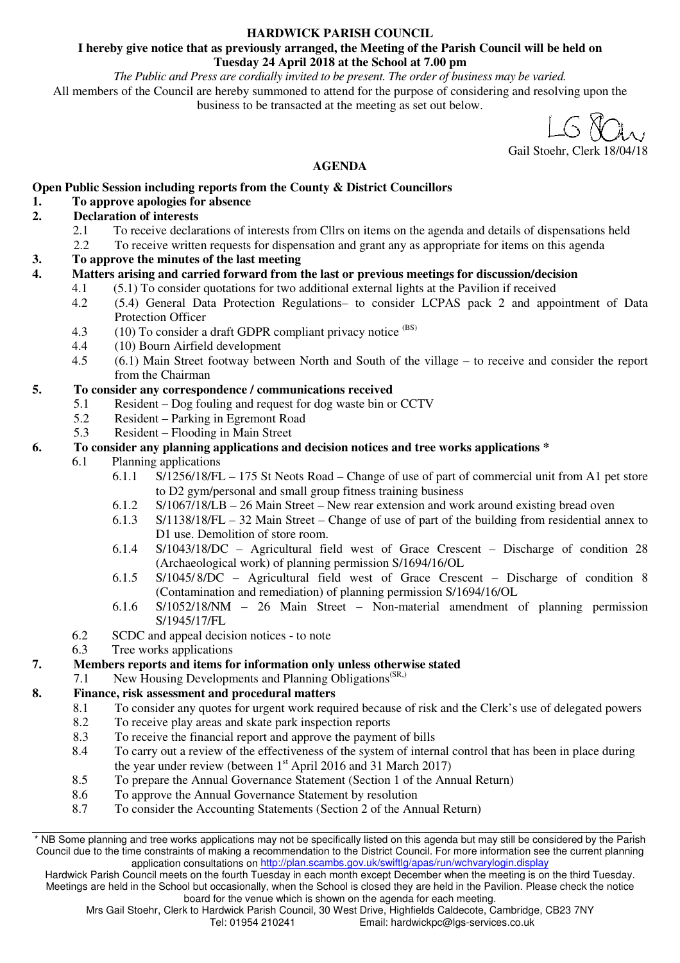#### **HARDWICK PARISH COUNCIL**

#### **I hereby give notice that as previously arranged, the Meeting of the Parish Council will be held on Tuesday 24 April 2018 at the School at 7.00 pm**

*The Public and Press are cordially invited to be present. The order of business may be varied.* 

All members of the Council are hereby summoned to attend for the purpose of considering and resolving upon the business to be transacted at the meeting as set out below.

Gail Stoehr, Clerk 18/04/18

# **AGENDA**

# **Open Public Session including reports from the County & District Councillors**

# **1. To approve apologies for absence**

# **2. Declaration of interests**

- 2.1 To receive declarations of interests from Cllrs on items on the agenda and details of dispensations held<br>2.2 To receive written requests for dispensation and grant any as appropriate for items on this agenda
- 2.2 To receive written requests for dispensation and grant any as appropriate for items on this agenda
- **3. To approve the minutes of the last meeting**
- **4. Matters arising and carried forward from the last or previous meetings for discussion/decision** 
	- 4.1 (5.1) To consider quotations for two additional external lights at the Pavilion if received
	- 4.2 (5.4) General Data Protection Regulations– to consider LCPAS pack 2 and appointment of Data Protection Officer
	- 4.3 (10) To consider a draft GDPR compliant privacy notice (BS)
	- 4.4 (10) Bourn Airfield development
	- 4.5 (6.1) Main Street footway between North and South of the village to receive and consider the report from the Chairman

# **5. To consider any correspondence / communications received**

- 5.1 Resident Dog fouling and request for dog waste bin or CCTV
- 5.2 Resident Parking in Egremont Road
- 5.3 Resident Flooding in Main Street

# **6. To consider any planning applications and decision notices and tree works applications \***

- 6.1 Planning applications
	- 6.1.1 S/1256/18/FL 175 St Neots Road Change of use of part of commercial unit from A1 pet store to D2 gym/personal and small group fitness training business
	- 6.1.2 S/1067/18/LB 26 Main Street New rear extension and work around existing bread oven
	- 6.1.3 S/1138/18/FL 32 Main Street Change of use of part of the building from residential annex to D1 use. Demolition of store room.
	- 6.1.4 S/1043/18/DC Agricultural field west of Grace Crescent Discharge of condition 28 (Archaeological work) of planning permission S/1694/16/OL
	- 6.1.5 S/1045/ 8/DC Agricultural field west of Grace Crescent Discharge of condition 8 (Contamination and remediation) of planning permission S/1694/16/OL
	- 6.1.6 S/1052/18/NM 26 Main Street Non-material amendment of planning permission S/1945/17/FL
- 6.2 SCDC and appeal decision notices to note
- 6.3 Tree works applications

# **7. Members reports and items for information only unless otherwise stated**

7.1 New Housing Developments and Planning Obligations<sup>(SR,)</sup>

# **8.** Finance, risk assessment and procedural matters 8.1 To consider any quotes for urgent work requ

- 8.1 To consider any quotes for urgent work required because of risk and the Clerk's use of delegated powers
- 8.2 To receive play areas and skate park inspection reports
- 8.3 To receive the financial report and approve the payment of bills
- 8.4 To carry out a review of the effectiveness of the system of internal control that has been in place during the year under review (between  $1<sup>st</sup>$  April 2016 and 31 March 2017)
- 8.5 To prepare the Annual Governance Statement (Section 1 of the Annual Return)<br>8.6 To annove the Annual Governance Statement by resolution
- To approve the Annual Governance Statement by resolution
- 8.7 To consider the Accounting Statements (Section 2 of the Annual Return)

\* NB Some planning and tree works applications may not be specifically listed on this agenda but may still be considered by the Parish Council due to the time constraints of making a recommendation to the District Council. For more information see the current planning application consultations on http://plan.scambs.gov.uk/swiftlg/apas/run/wchvarylogin.display

Hardwick Parish Council meets on the fourth Tuesday in each month except December when the meeting is on the third Tuesday. Meetings are held in the School but occasionally, when the School is closed they are held in the Pavilion. Please check the notice board for the venue which is shown on the agenda for each meeting.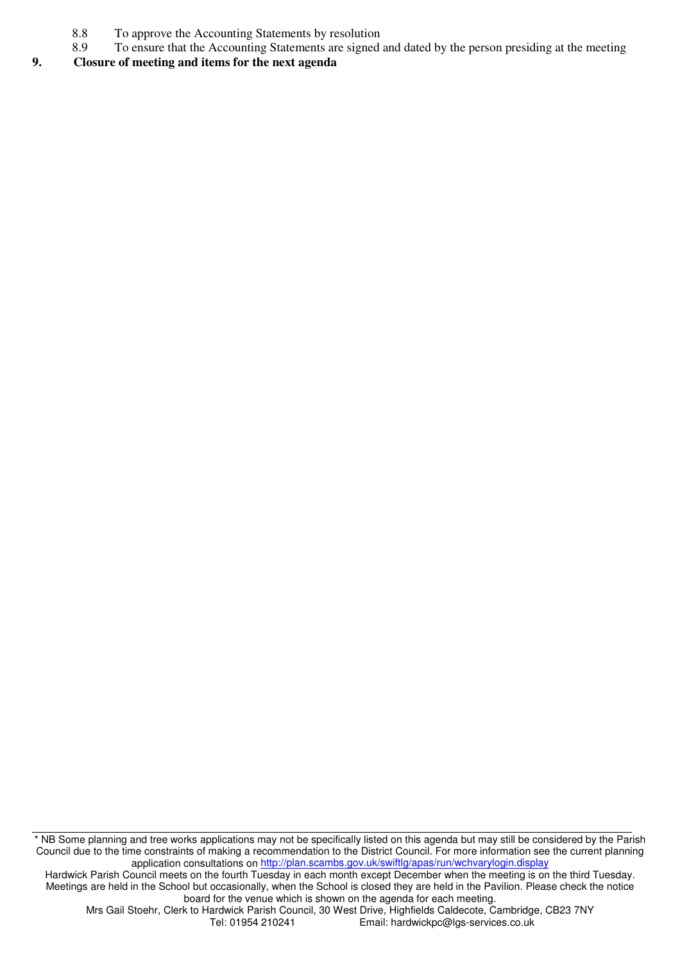- 8.8 To approve the Accounting Statements by resolution<br>8.9 To ensure that the Accounting Statements are signed
- 8.9 To ensure that the Accounting Statements are signed and dated by the person presiding at the meeting

#### **9. Closure of meeting and items for the next agenda**

\* NB Some planning and tree works applications may not be specifically listed on this agenda but may still be considered by the Parish Council due to the time constraints of making a recommendation to the District Council. For more information see the current planning application consultations on http://plan.scambs.gov.uk/swiftlg/apas/run/wchvarylogin.display

Hardwick Parish Council meets on the fourth Tuesday in each month except December when the meeting is on the third Tuesday. Meetings are held in the School but occasionally, when the School is closed they are held in the Pavilion. Please check the notice board for the venue which is shown on the agenda for each meeting.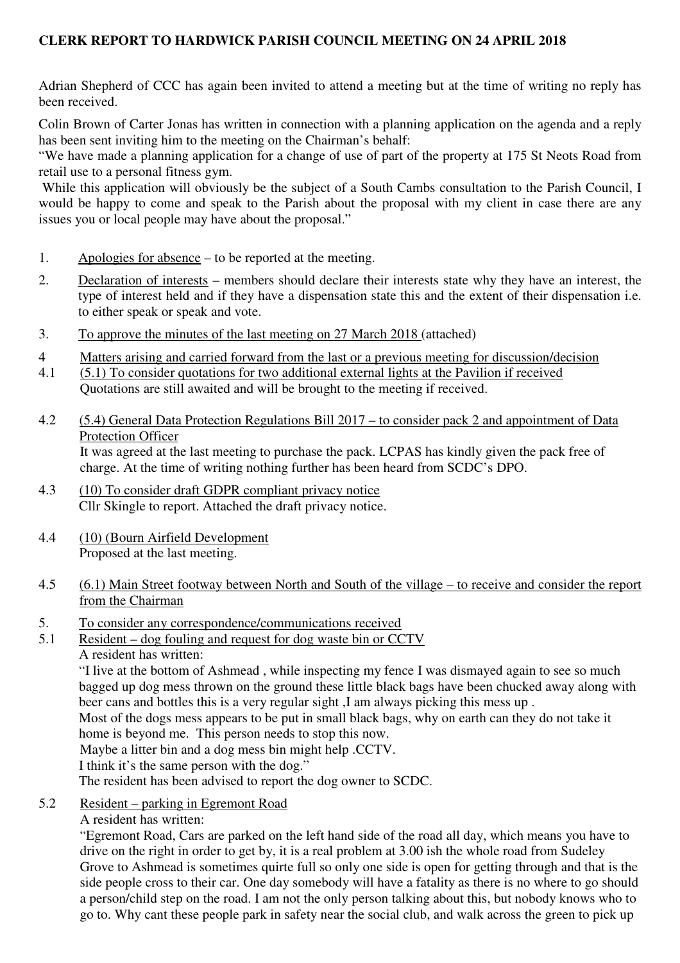# **CLERK REPORT TO HARDWICK PARISH COUNCIL MEETING ON 24 APRIL 2018**

Adrian Shepherd of CCC has again been invited to attend a meeting but at the time of writing no reply has been received.

Colin Brown of Carter Jonas has written in connection with a planning application on the agenda and a reply has been sent inviting him to the meeting on the Chairman's behalf:

"We have made a planning application for a change of use of part of the property at 175 St Neots Road from retail use to a personal fitness gym.

While this application will obviously be the subject of a South Cambs consultation to the Parish Council, I would be happy to come and speak to the Parish about the proposal with my client in case there are any issues you or local people may have about the proposal."

- 1. Apologies for absence to be reported at the meeting.
- 2. Declaration of interests members should declare their interests state why they have an interest, the type of interest held and if they have a dispensation state this and the extent of their dispensation i.e. to either speak or speak and vote.
- 3. To approve the minutes of the last meeting on 27 March 2018 (attached)
- 4 Matters arising and carried forward from the last or a previous meeting for discussion/decision
- 4.1 (5.1) To consider quotations for two additional external lights at the Pavilion if received Quotations are still awaited and will be brought to the meeting if received.
- 4.2 (5.4) General Data Protection Regulations Bill 2017 to consider pack 2 and appointment of Data Protection Officer It was agreed at the last meeting to purchase the pack. LCPAS has kindly given the pack free of charge. At the time of writing nothing further has been heard from SCDC's DPO.
- 4.3 (10) To consider draft GDPR compliant privacy notice Cllr Skingle to report. Attached the draft privacy notice.
- 4.4 (10) (Bourn Airfield Development Proposed at the last meeting.
- 4.5 (6.1) Main Street footway between North and South of the village to receive and consider the report from the Chairman
- 5. To consider any correspondence/communications received
- 5.1 Resident dog fouling and request for dog waste bin or CCTV
	- A resident has written:

"I live at the bottom of Ashmead , while inspecting my fence I was dismayed again to see so much bagged up dog mess thrown on the ground these little black bags have been chucked away along with beer cans and bottles this is a very regular sight ,I am always picking this mess up .

Most of the dogs mess appears to be put in small black bags, why on earth can they do not take it home is beyond me. This person needs to stop this now.

Maybe a litter bin and a dog mess bin might help .CCTV.

I think it's the same person with the dog."

The resident has been advised to report the dog owner to SCDC.

- 5.2 Resident parking in Egremont Road
	- A resident has written:

"Egremont Road, Cars are parked on the left hand side of the road all day, which means you have to drive on the right in order to get by, it is a real problem at 3.00 ish the whole road from Sudeley Grove to Ashmead is sometimes quirte full so only one side is open for getting through and that is the side people cross to their car. One day somebody will have a fatality as there is no where to go should a person/child step on the road. I am not the only person talking about this, but nobody knows who to go to. Why cant these people park in safety near the social club, and walk across the green to pick up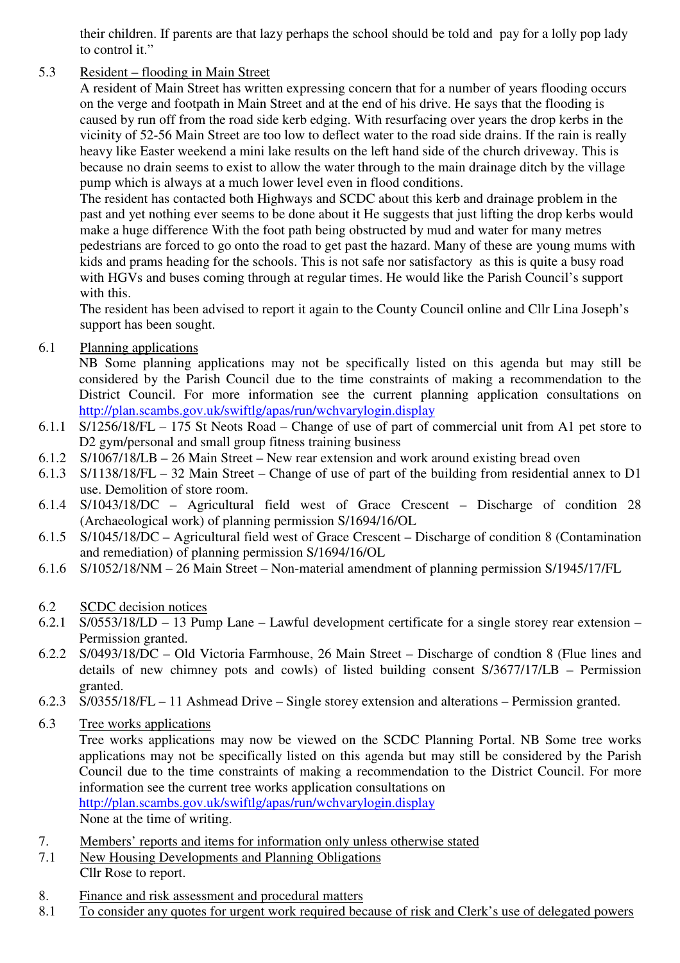their children. If parents are that lazy perhaps the school should be told and pay for a lolly pop lady to control it."

# 5.3 Resident – flooding in Main Street

A resident of Main Street has written expressing concern that for a number of years flooding occurs on the verge and footpath in Main Street and at the end of his drive. He says that the flooding is caused by run off from the road side kerb edging. With resurfacing over years the drop kerbs in the vicinity of 52-56 Main Street are too low to deflect water to the road side drains. If the rain is really heavy like Easter weekend a mini lake results on the left hand side of the church driveway. This is because no drain seems to exist to allow the water through to the main drainage ditch by the village pump which is always at a much lower level even in flood conditions.

The resident has contacted both Highways and SCDC about this kerb and drainage problem in the past and yet nothing ever seems to be done about it He suggests that just lifting the drop kerbs would make a huge difference With the foot path being obstructed by mud and water for many metres pedestrians are forced to go onto the road to get past the hazard. Many of these are young mums with kids and prams heading for the schools. This is not safe nor satisfactory as this is quite a busy road with HGVs and buses coming through at regular times. He would like the Parish Council's support with this.

The resident has been advised to report it again to the County Council online and Cllr Lina Joseph's support has been sought.

6.1 Planning applications

NB Some planning applications may not be specifically listed on this agenda but may still be considered by the Parish Council due to the time constraints of making a recommendation to the District Council. For more information see the current planning application consultations on http://plan.scambs.gov.uk/swiftlg/apas/run/wchvarylogin.display

- 6.1.1 S/1256/18/FL 175 St Neots Road Change of use of part of commercial unit from A1 pet store to D<sub>2</sub> gym/personal and small group fitness training business
- 6.1.2 S/1067/18/LB 26 Main Street New rear extension and work around existing bread oven
- 6.1.3 S/1138/18/FL 32 Main Street Change of use of part of the building from residential annex to D1 use. Demolition of store room.
- 6.1.4 S/1043/18/DC Agricultural field west of Grace Crescent Discharge of condition 28 (Archaeological work) of planning permission S/1694/16/OL
- 6.1.5 S/1045/18/DC Agricultural field west of Grace Crescent Discharge of condition 8 (Contamination and remediation) of planning permission S/1694/16/OL
- 6.1.6 S/1052/18/NM 26 Main Street Non-material amendment of planning permission S/1945/17/FL

# 6.2 SCDC decision notices

- 6.2.1 S/0553/18/LD 13 Pump Lane Lawful development certificate for a single storey rear extension Permission granted.
- 6.2.2 S/0493/18/DC Old Victoria Farmhouse, 26 Main Street Discharge of condtion 8 (Flue lines and details of new chimney pots and cowls) of listed building consent S/3677/17/LB – Permission granted.
- 6.2.3 S/0355/18/FL 11 Ashmead Drive Single storey extension and alterations Permission granted.
- 6.3 Tree works applications

Tree works applications may now be viewed on the SCDC Planning Portal. NB Some tree works applications may not be specifically listed on this agenda but may still be considered by the Parish Council due to the time constraints of making a recommendation to the District Council. For more information see the current tree works application consultations on http://plan.scambs.gov.uk/swiftlg/apas/run/wchvarylogin.display

- None at the time of writing.
- 7. Members' reports and items for information only unless otherwise stated
- 7.1 New Housing Developments and Planning Obligations Cllr Rose to report.
- 8. Finance and risk assessment and procedural matters
- 8.1 To consider any quotes for urgent work required because of risk and Clerk's use of delegated powers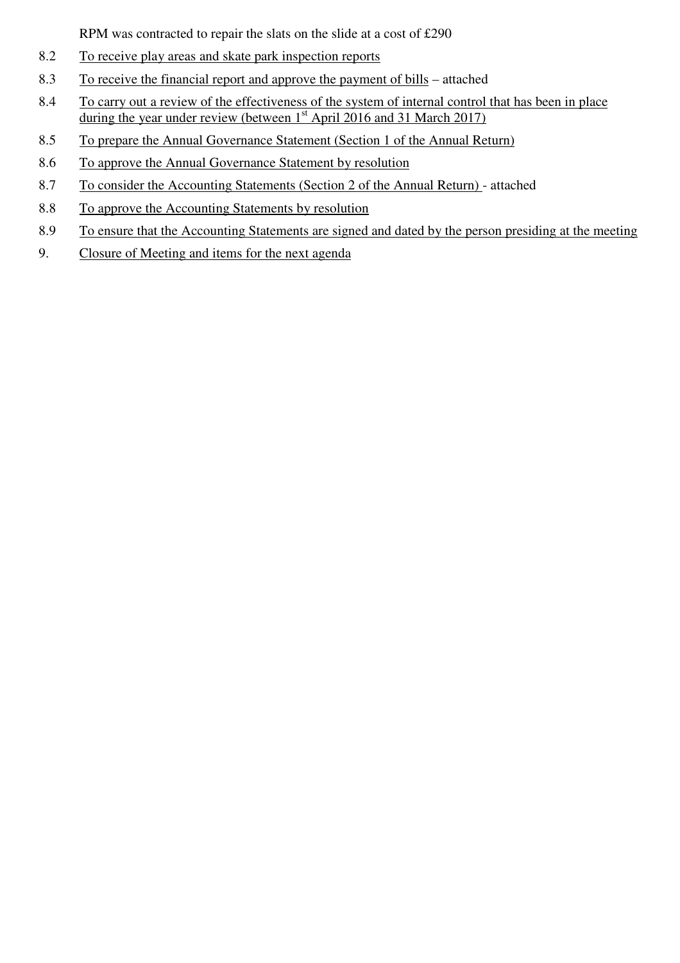RPM was contracted to repair the slats on the slide at a cost of £290

- 8.2 To receive play areas and skate park inspection reports
- 8.3 To receive the financial report and approve the payment of bills attached
- 8.4 To carry out a review of the effectiveness of the system of internal control that has been in place during the year under review (between  $1<sup>st</sup>$  April 2016 and 31 March 2017)
- 8.5 To prepare the Annual Governance Statement (Section 1 of the Annual Return)
- 8.6 To approve the Annual Governance Statement by resolution
- 8.7 To consider the Accounting Statements (Section 2 of the Annual Return) attached
- 8.8 To approve the Accounting Statements by resolution
- 8.9 To ensure that the Accounting Statements are signed and dated by the person presiding at the meeting
- 9. Closure of Meeting and items for the next agenda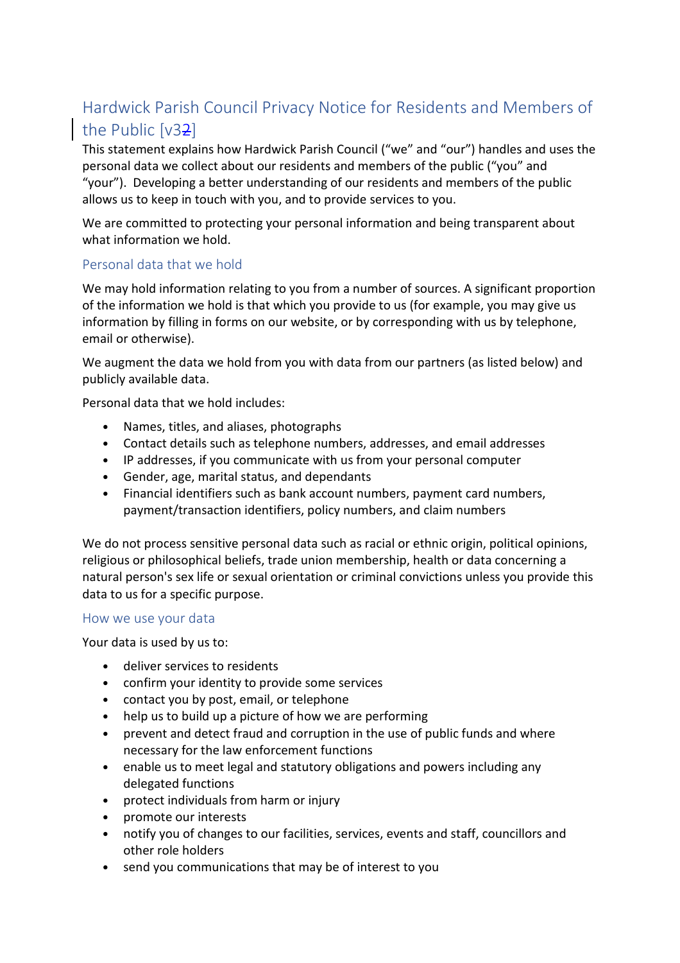# Hardwick Parish Council Privacy Notice for Residents and Members of the Public [v32]

This statement explains how Hardwick Parish Council ("we" and "our") handles and uses the personal data we collect about our residents and members of the public ("you" and "your"). Developing a better understanding of our residents and members of the public allows us to keep in touch with you, and to provide services to you.

We are committed to protecting your personal information and being transparent about what information we hold.

# Personal data that we hold

We may hold information relating to you from a number of sources. A significant proportion of the information we hold is that which you provide to us (for example, you may give us information by filling in forms on our website, or by corresponding with us by telephone, email or otherwise).

We augment the data we hold from you with data from our partners (as listed below) and publicly available data.

Personal data that we hold includes:

- Names, titles, and aliases, photographs
- Contact details such as telephone numbers, addresses, and email addresses
- IP addresses, if you communicate with us from your personal computer
- Gender, age, marital status, and dependants
- Financial identifiers such as bank account numbers, payment card numbers, payment/transaction identifiers, policy numbers, and claim numbers

We do not process sensitive personal data such as racial or ethnic origin, political opinions, religious or philosophical beliefs, trade union membership, health or data concerning a natural person's sex life or sexual orientation or criminal convictions unless you provide this data to us for a specific purpose.

# How we use your data

Your data is used by us to:

- deliver services to residents
- confirm your identity to provide some services
- contact you by post, email, or telephone
- help us to build up a picture of how we are performing
- prevent and detect fraud and corruption in the use of public funds and where necessary for the law enforcement functions
- enable us to meet legal and statutory obligations and powers including any delegated functions
- protect individuals from harm or injury
- promote our interests
- notify you of changes to our facilities, services, events and staff, councillors and other role holders
- send you communications that may be of interest to you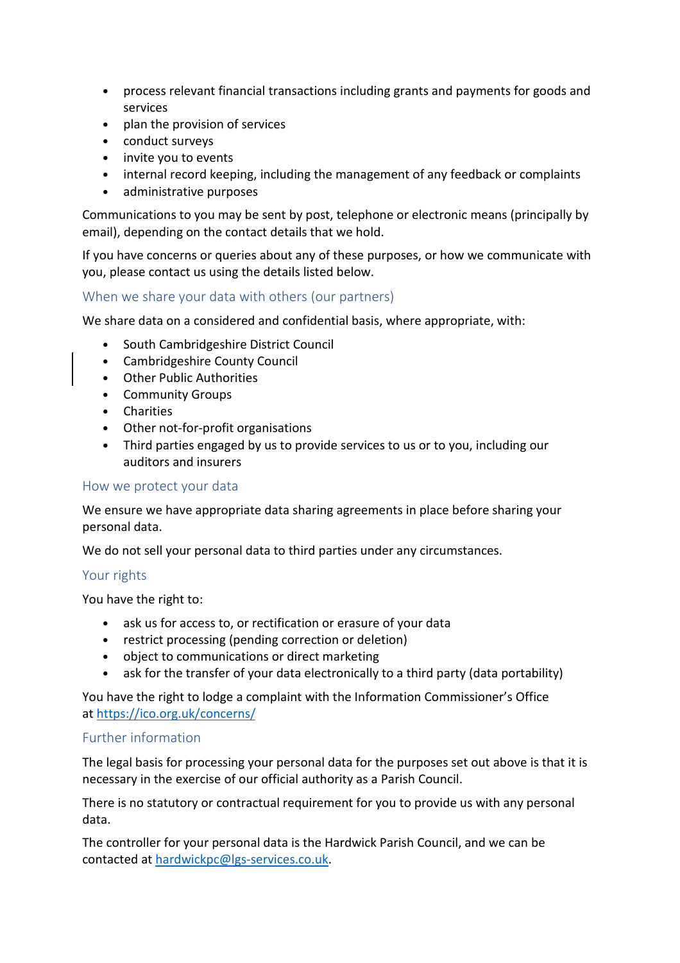- process relevant financial transactions including grants and payments for goods and services
- plan the provision of services
- conduct surveys
- invite you to events
- internal record keeping, including the management of any feedback or complaints
- administrative purposes

Communications to you may be sent by post, telephone or electronic means (principally by email), depending on the contact details that we hold.

If you have concerns or queries about any of these purposes, or how we communicate with you, please contact us using the details listed below.

# When we share your data with others (our partners)

We share data on a considered and confidential basis, where appropriate, with:

- South Cambridgeshire District Council
- Cambridgeshire County Council
- Other Public Authorities
- Community Groups
- Charities
- Other not-for-profit organisations
- Third parties engaged by us to provide services to us or to you, including our auditors and insurers

# How we protect your data

We ensure we have appropriate data sharing agreements in place before sharing your personal data.

We do not sell your personal data to third parties under any circumstances.

# Your rights

You have the right to:

- ask us for access to, or rectification or erasure of your data
- restrict processing (pending correction or deletion)
- object to communications or direct marketing
- ask for the transfer of your data electronically to a third party (data portability)

You have the right to lodge a complaint with the Information Commissioner's Office at https://ico.org.uk/concerns/

# Further information

The legal basis for processing your personal data for the purposes set out above is that it is necessary in the exercise of our official authority as a Parish Council.

There is no statutory or contractual requirement for you to provide us with any personal data.

The controller for your personal data is the Hardwick Parish Council, and we can be contacted at hardwickpc@lgs-services.co.uk.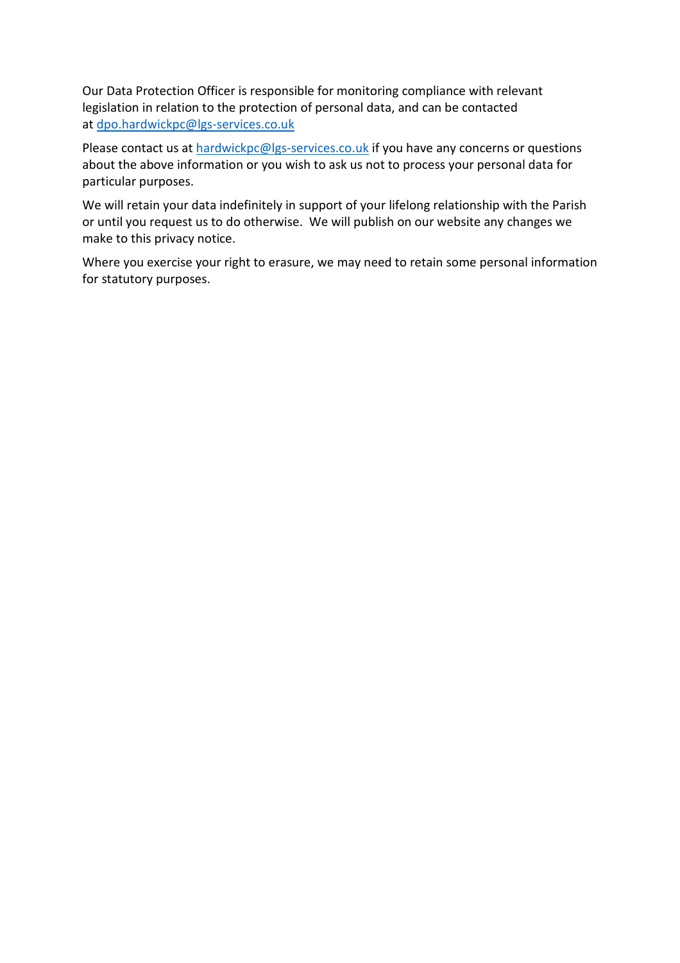Our Data Protection Officer is responsible for monitoring compliance with relevant legislation in relation to the protection of personal data, and can be contacted at dpo.hardwickpc@lgs-services.co.uk

Please contact us at hardwickpc@lgs-services.co.uk if you have any concerns or questions about the above information or you wish to ask us not to process your personal data for particular purposes.

We will retain your data indefinitely in support of your lifelong relationship with the Parish or until you request us to do otherwise. We will publish on our website any changes we make to this privacy notice.

Where you exercise your right to erasure, we may need to retain some personal information for statutory purposes.